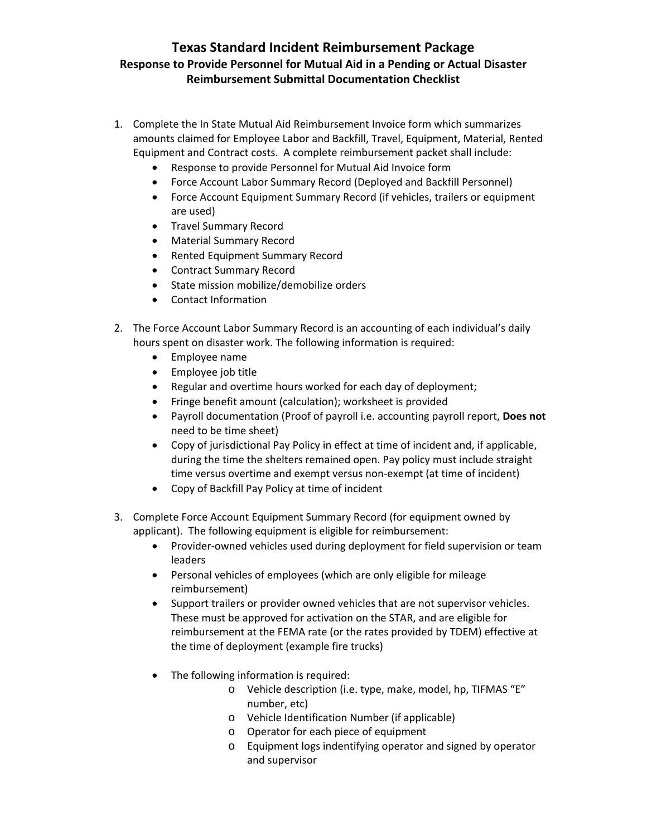## **Texas Standard Incident Reimbursement Package Response to Provide Personnel for Mutual Aid in a Pending or Actual Disaster Reimbursement Submittal Documentation Checklist**

- 1. Complete the In State Mutual Aid Reimbursement Invoice form which summarizes amounts claimed for Employee Labor and Backfill, Travel, Equipment, Material, Rented Equipment and Contract costs. A complete reimbursement packet shall include:
	- Response to provide Personnel for Mutual Aid Invoice form
	- Force Account Labor Summary Record (Deployed and Backfill Personnel)
	- Force Account Equipment Summary Record (if vehicles, trailers or equipment are used)
	- **•** Travel Summary Record
	- Material Summary Record
	- Rented Equipment Summary Record
	- Contract Summary Record
	- State mission mobilize/demobilize orders
	- Contact Information
- 2. The Force Account Labor Summary Record is an accounting of each individual's daily hours spent on disaster work. The following information is required:
	- Employee name
	- Employee job title
	- Regular and overtime hours worked for each day of deployment;
	- Fringe benefit amount (calculation); worksheet is provided
	- Payroll documentation (Proof of payroll i.e. accounting payroll report, **Does not** need to be time sheet)
	- Copy of jurisdictional Pay Policy in effect at time of incident and, if applicable, during the time the shelters remained open. Pay policy must include straight time versus overtime and exempt versus non‐exempt (at time of incident)
	- Copy of Backfill Pay Policy at time of incident
- 3. Complete Force Account Equipment Summary Record (for equipment owned by applicant). The following equipment is eligible for reimbursement:
	- Provider-owned vehicles used during deployment for field supervision or team leaders
	- Personal vehicles of employees (which are only eligible for mileage reimbursement)
	- Support trailers or provider owned vehicles that are not supervisor vehicles. These must be approved for activation on the STAR, and are eligible for reimbursement at the FEMA rate (or the rates provided by TDEM) effective at the time of deployment (example fire trucks)
	- The following information is required:
		- o Vehicle description (i.e. type, make, model, hp, TIFMAS "E" number, etc)
		- o Vehicle Identification Number (if applicable)
		- o Operator for each piece of equipment
		- o Equipment logs indentifying operator and signed by operator and supervisor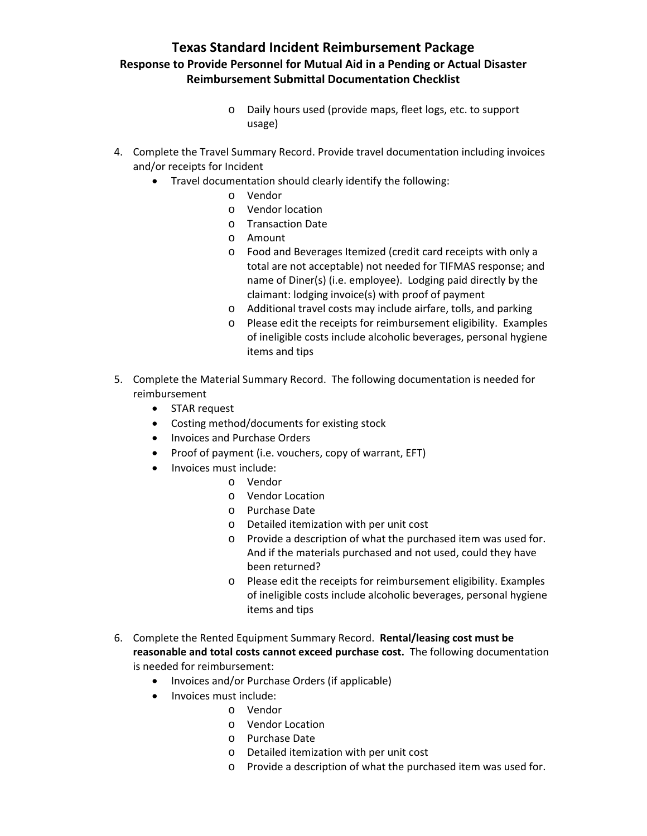## **Texas Standard Incident Reimbursement Package Response to Provide Personnel for Mutual Aid in a Pending or Actual Disaster Reimbursement Submittal Documentation Checklist**

- o Daily hours used (provide maps, fleet logs, etc. to support usage)
- 4. Complete the Travel Summary Record. Provide travel documentation including invoices and/or receipts for Incident
	- Travel documentation should clearly identify the following:
		- o Vendor
		- o Vendor location
		- o Transaction Date
		- o Amount
		- o Food and Beverages Itemized (credit card receipts with only a total are not acceptable) not needed for TIFMAS response; and name of Diner(s) (i.e. employee). Lodging paid directly by the claimant: lodging invoice(s) with proof of payment
		- o Additional travel costs may include airfare, tolls, and parking
		- o Please edit the receipts for reimbursement eligibility. Examples of ineligible costs include alcoholic beverages, personal hygiene items and tips
- 5. Complete the Material Summary Record. The following documentation is needed for reimbursement
	- STAR request
	- Costing method/documents for existing stock
	- Invoices and Purchase Orders
	- Proof of payment (i.e. vouchers, copy of warrant, EFT)
	- Invoices must include:
		- o Vendor
			- o Vendor Location
		- o Purchase Date
		- o Detailed itemization with per unit cost
		- o Provide a description of what the purchased item was used for. And if the materials purchased and not used, could they have been returned?
		- o Please edit the receipts for reimbursement eligibility. Examples of ineligible costs include alcoholic beverages, personal hygiene items and tips
- 6. Complete the Rented Equipment Summary Record. **Rental/leasing cost must be reasonable and total costs cannot exceed purchase cost.** The following documentation is needed for reimbursement:
	- Invoices and/or Purchase Orders (if applicable)
	- Invoices must include:
		- o Vendor
		- o Vendor Location
		- o Purchase Date
		- o Detailed itemization with per unit cost
		- o Provide a description of what the purchased item was used for.